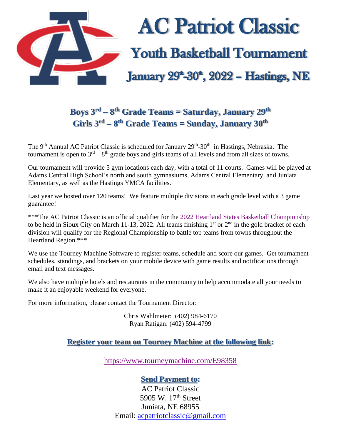

## **Boys 3rd – 8 th Grade Teams = Saturday, January 29th Girls 3rd – 8 th Grade Teams = Sunday, January 30 th**

The 9<sup>th</sup> Annual AC Patriot Classic is scheduled for January 29<sup>th</sup>-30<sup>th</sup> in Hastings, Nebraska. The tournament is open to  $3<sup>rd</sup> - 8<sup>th</sup>$  grade boys and girls teams of all levels and from all sizes of towns.

Our tournament will provide 5 gym locations each day, with a total of 11 courts. Games will be played at Adams Central High School's north and south gymnasiums, Adams Central Elementary, and Juniata Elementary, as well as the Hastings YMCA facilities.

Last year we hosted over 120 teams! We feature multiple divisions in each grade level with a 3 game guarantee!

\*\*\*The AC Patriot Classic is an official qualifier for the [2022 Heartland States Basketball Championship](https://www.statebasketballchampionship.com/heartland) to be held in Sioux City on March 11-13, 2022. All teams finishing  $1<sup>st</sup>$  or  $2<sup>nd</sup>$  in the gold bracket of each division will qualify for the Regional Championship to battle top teams from towns throughout the Heartland Region.\*\*\*

We use the Tourney Machine Software to register teams, schedule and score our games. Get tournament schedules, standings, and brackets on your mobile device with game results and notifications through email and text messages.

We also have multiple hotels and restaurants in the community to help accommodate all your needs to make it an enjoyable weekend for everyone.

For more information, please contact the Tournament Director:

Chris Wahlmeier: (402) 984-6170 Ryan Ratigan: (402) 594-4799

## **Register your team on Tourney Machine at the following link:**

<https://www.tourneymachine.com/E98358>

## **Send Payment to:**

AC Patriot Classic 5905 W. 17<sup>th</sup> Street Juniata, NE 68955 Email: [acpatriotclassic@gmail.com](mailto:acpatriotclassic@gmail.com)